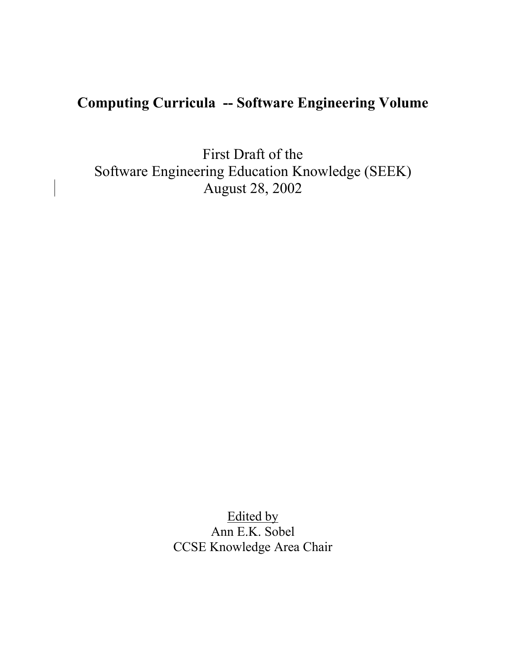# **Computing Curricula -- Software Engineering Volume**

First Draft of the Software Engineering Education Knowledge (SEEK) August 28, 2002

> Edited by Ann E.K. Sobel CCSE Knowledge Area Chair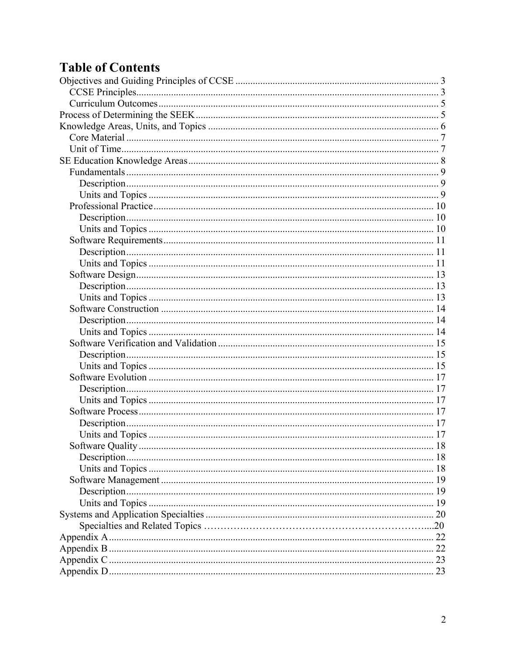# **Table of Contents**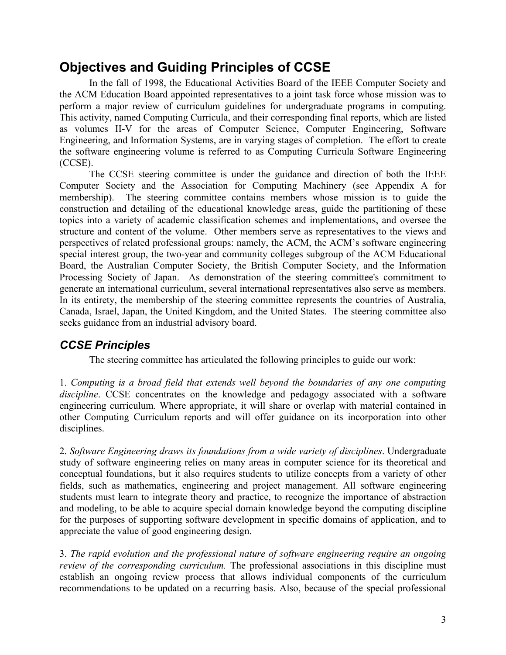## **Objectives and Guiding Principles of CCSE**

In the fall of 1998, the Educational Activities Board of the IEEE Computer Society and the ACM Education Board appointed representatives to a joint task force whose mission was to perform a major review of curriculum guidelines for undergraduate programs in computing. This activity, named Computing Curricula, and their corresponding final reports, which are listed as volumes II-V for the areas of Computer Science, Computer Engineering, Software Engineering, and Information Systems, are in varying stages of completion. The effort to create the software engineering volume is referred to as Computing Curricula Software Engineering (CCSE).

 The CCSE steering committee is under the guidance and direction of both the IEEE Computer Society and the Association for Computing Machinery (see Appendix A for membership). The steering committee contains members whose mission is to guide the construction and detailing of the educational knowledge areas, guide the partitioning of these topics into a variety of academic classification schemes and implementations, and oversee the structure and content of the volume. Other members serve as representatives to the views and perspectives of related professional groups: namely, the ACM, the ACM's software engineering special interest group, the two-year and community colleges subgroup of the ACM Educational Board, the Australian Computer Society, the British Computer Society, and the Information Processing Society of Japan. As demonstration of the steering committee's commitment to generate an international curriculum, several international representatives also serve as members. In its entirety, the membership of the steering committee represents the countries of Australia, Canada, Israel, Japan, the United Kingdom, and the United States. The steering committee also seeks guidance from an industrial advisory board.

## *CCSE Principles*

The steering committee has articulated the following principles to guide our work:

1. *Computing is a broad field that extends well beyond the boundaries of any one computing discipline*. CCSE concentrates on the knowledge and pedagogy associated with a software engineering curriculum. Where appropriate, it will share or overlap with material contained in other Computing Curriculum reports and will offer guidance on its incorporation into other disciplines.

2. *Software Engineering draws its foundations from a wide variety of disciplines*. Undergraduate study of software engineering relies on many areas in computer science for its theoretical and conceptual foundations, but it also requires students to utilize concepts from a variety of other fields, such as mathematics, engineering and project management. All software engineering students must learn to integrate theory and practice, to recognize the importance of abstraction and modeling, to be able to acquire special domain knowledge beyond the computing discipline for the purposes of supporting software development in specific domains of application, and to appreciate the value of good engineering design.

3. *The rapid evolution and the professional nature of software engineering require an ongoing review of the corresponding curriculum.* The professional associations in this discipline must establish an ongoing review process that allows individual components of the curriculum recommendations to be updated on a recurring basis. Also, because of the special professional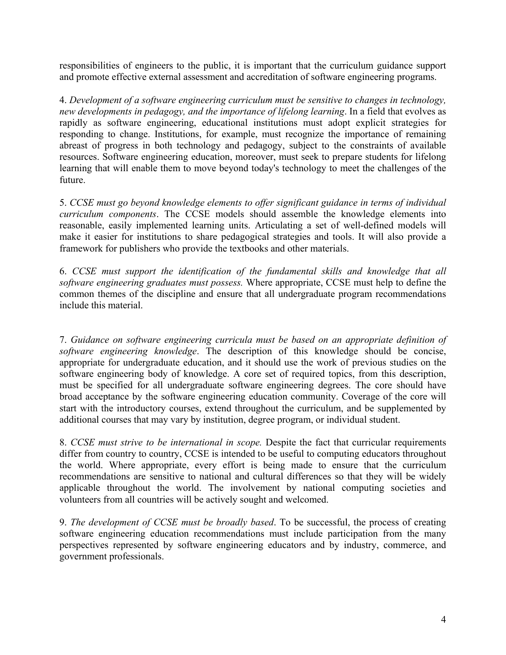responsibilities of engineers to the public, it is important that the curriculum guidance support and promote effective external assessment and accreditation of software engineering programs.

4. *Development of a software engineering curriculum must be sensitive to changes in technology, new developments in pedagogy, and the importance of lifelong learning*. In a field that evolves as rapidly as software engineering, educational institutions must adopt explicit strategies for responding to change. Institutions, for example, must recognize the importance of remaining abreast of progress in both technology and pedagogy, subject to the constraints of available resources. Software engineering education, moreover, must seek to prepare students for lifelong learning that will enable them to move beyond today's technology to meet the challenges of the future.

5. *CCSE must go beyond knowledge elements to offer significant guidance in terms of individual curriculum components*. The CCSE models should assemble the knowledge elements into reasonable, easily implemented learning units. Articulating a set of well-defined models will make it easier for institutions to share pedagogical strategies and tools. It will also provide a framework for publishers who provide the textbooks and other materials.

6. *CCSE must support the identification of the fundamental skills and knowledge that all software engineering graduates must possess.* Where appropriate, CCSE must help to define the common themes of the discipline and ensure that all undergraduate program recommendations include this material.

7. *Guidance on software engineering curricula must be based on an appropriate definition of software engineering knowledge*. The description of this knowledge should be concise, appropriate for undergraduate education, and it should use the work of previous studies on the software engineering body of knowledge. A core set of required topics, from this description, must be specified for all undergraduate software engineering degrees. The core should have broad acceptance by the software engineering education community. Coverage of the core will start with the introductory courses, extend throughout the curriculum, and be supplemented by additional courses that may vary by institution, degree program, or individual student.

8. *CCSE must strive to be international in scope.* Despite the fact that curricular requirements differ from country to country, CCSE is intended to be useful to computing educators throughout the world. Where appropriate, every effort is being made to ensure that the curriculum recommendations are sensitive to national and cultural differences so that they will be widely applicable throughout the world. The involvement by national computing societies and volunteers from all countries will be actively sought and welcomed.

9. *The development of CCSE must be broadly based*. To be successful, the process of creating software engineering education recommendations must include participation from the many perspectives represented by software engineering educators and by industry, commerce, and government professionals.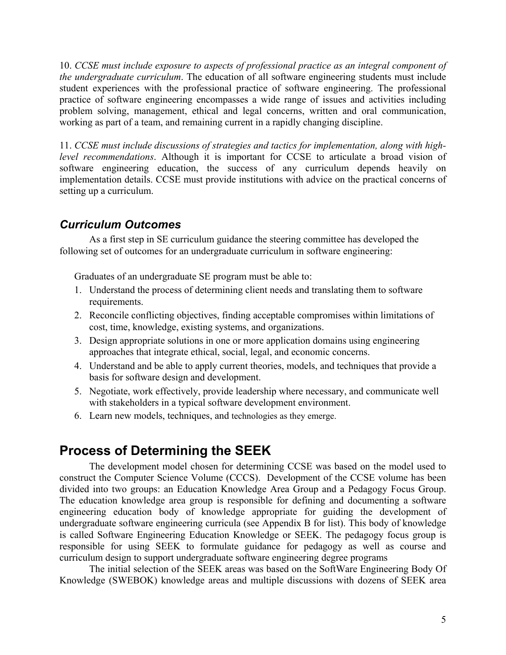10. *CCSE must include exposure to aspects of professional practice as an integral component of the undergraduate curriculum*. The education of all software engineering students must include student experiences with the professional practice of software engineering. The professional practice of software engineering encompasses a wide range of issues and activities including problem solving, management, ethical and legal concerns, written and oral communication, working as part of a team, and remaining current in a rapidly changing discipline.

11. *CCSE must include discussions of strategies and tactics for implementation, along with highlevel recommendations*. Although it is important for CCSE to articulate a broad vision of software engineering education, the success of any curriculum depends heavily on implementation details. CCSE must provide institutions with advice on the practical concerns of setting up a curriculum.

### *Curriculum Outcomes*

As a first step in SE curriculum guidance the steering committee has developed the following set of outcomes for an undergraduate curriculum in software engineering:

Graduates of an undergraduate SE program must be able to:

- 1. Understand the process of determining client needs and translating them to software requirements.
- 2. Reconcile conflicting objectives, finding acceptable compromises within limitations of cost, time, knowledge, existing systems, and organizations.
- 3. Design appropriate solutions in one or more application domains using engineering approaches that integrate ethical, social, legal, and economic concerns.
- 4. Understand and be able to apply current theories, models, and techniques that provide a basis for software design and development.
- 5. Negotiate, work effectively, provide leadership where necessary, and communicate well with stakeholders in a typical software development environment.
- 6. Learn new models, techniques, and technologies as they emerge.

## **Process of Determining the SEEK**

The development model chosen for determining CCSE was based on the model used to construct the Computer Science Volume (CCCS). Development of the CCSE volume has been divided into two groups: an Education Knowledge Area Group and a Pedagogy Focus Group. The education knowledge area group is responsible for defining and documenting a software engineering education body of knowledge appropriate for guiding the development of undergraduate software engineering curricula (see Appendix B for list). This body of knowledge is called Software Engineering Education Knowledge or SEEK. The pedagogy focus group is responsible for using SEEK to formulate guidance for pedagogy as well as course and curriculum design to support undergraduate software engineering degree programs

The initial selection of the SEEK areas was based on the SoftWare Engineering Body Of Knowledge (SWEBOK) knowledge areas and multiple discussions with dozens of SEEK area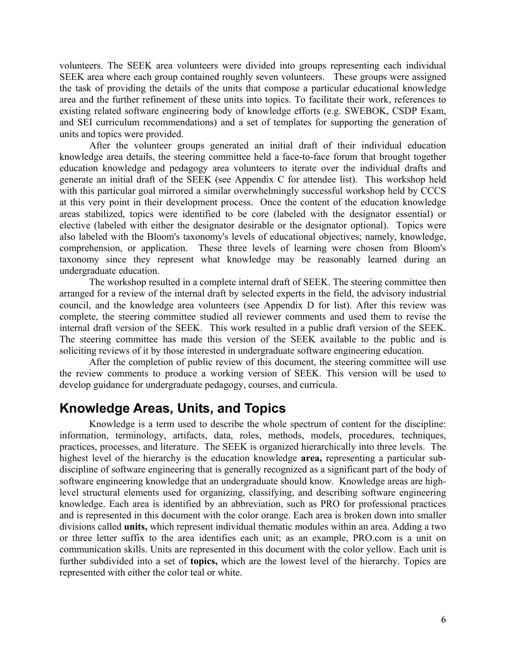volunteers. The SEEK area volunteers were divided into groups representing each individual SEEK area where each group contained roughly seven volunteers. These groups were assigned the task of providing the details of the units that compose a particular educational knowledge area and the further refinement of these units into topics. To facilitate their work, references to existing related software engineering body of knowledge efforts (e.g. SWEBOK, CSDP Exam, and SEI curriculum recommendations) and a set of templates for supporting the generation of units and topics were provided.

After the volunteer groups generated an initial draft of their individual education knowledge area details, the steering committee held a face-to-face forum that brought together education knowledge and pedagogy area volunteers to iterate over the individual drafts and generate an initial draft of the SEEK (see Appendix C for attendee list). This workshop held with this particular goal mirrored a similar overwhelmingly successful workshop held by CCCS at this very point in their development process. Once the content of the education knowledge areas stabilized, topics were identified to be core (labeled with the designator essential) or elective (labeled with either the designator desirable or the designator optional). Topics were also labeled with the Bloom's taxonomy's levels of educational objectives; namely, knowledge, comprehension, or application. These three levels of learning were chosen from Bloom's taxonomy since they represent what knowledge may be reasonably learned during an undergraduate education.

The workshop resulted in a complete internal draft of SEEK. The steering committee then arranged for a review of the internal draft by selected experts in the field, the advisory industrial council, and the knowledge area volunteers (see Appendix D for list). After this review was complete, the steering committee studied all reviewer comments and used them to revise the internal draft version of the SEEK. This work resulted in a public draft version of the SEEK. The steering committee has made this version of the SEEK available to the public and is soliciting reviews of it by those interested in undergraduate software engineering education.

After the completion of public review of this document, the steering committee will use the review comments to produce a working version of SEEK. This version will be used to develop guidance for undergraduate pedagogy, courses, and curricula.

## **Knowledge Areas, Units, and Topics**

Knowledge is a term used to describe the whole spectrum of content for the discipline: information, terminology, artifacts, data, roles, methods, models, procedures, techniques, practices, processes, and literature. The SEEK is organized hierarchically into three levels. The highest level of the hierarchy is the education knowledge **area,** representing a particular subdiscipline of software engineering that is generally recognized as a significant part of the body of software engineering knowledge that an undergraduate should know. Knowledge areas are highlevel structural elements used for organizing, classifying, and describing software engineering knowledge. Each area is identified by an abbreviation, such as PRO for professional practices and is represented in this document with the color orange. Each area is broken down into smaller divisions called **units,** which represent individual thematic modules within an area. Adding a two or three letter suffix to the area identifies each unit; as an example, PRO.com is a unit on communication skills. Units are represented in this document with the color yellow. Each unit is further subdivided into a set of **topics,** which are the lowest level of the hierarchy. Topics are represented with either the color teal or white.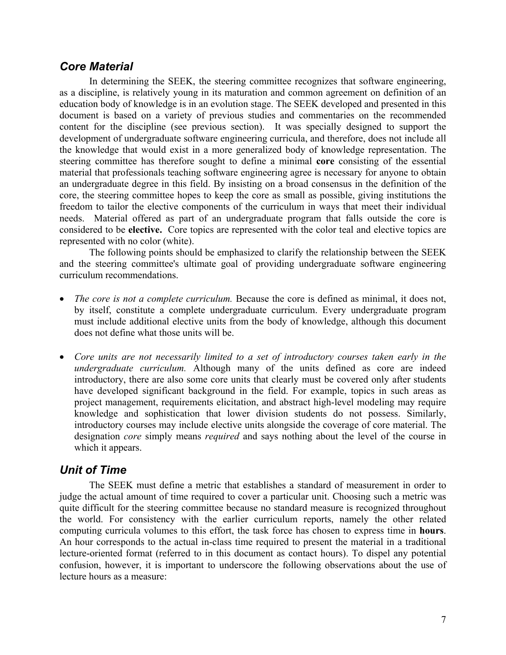#### *Core Material*

In determining the SEEK, the steering committee recognizes that software engineering, as a discipline, is relatively young in its maturation and common agreement on definition of an education body of knowledge is in an evolution stage. The SEEK developed and presented in this document is based on a variety of previous studies and commentaries on the recommended content for the discipline (see previous section). It was specially designed to support the development of undergraduate software engineering curricula, and therefore, does not include all the knowledge that would exist in a more generalized body of knowledge representation. The steering committee has therefore sought to define a minimal **core** consisting of the essential material that professionals teaching software engineering agree is necessary for anyone to obtain an undergraduate degree in this field. By insisting on a broad consensus in the definition of the core, the steering committee hopes to keep the core as small as possible, giving institutions the freedom to tailor the elective components of the curriculum in ways that meet their individual needs. Material offered as part of an undergraduate program that falls outside the core is considered to be **elective.** Core topics are represented with the color teal and elective topics are represented with no color (white).

The following points should be emphasized to clarify the relationship between the SEEK and the steering committee's ultimate goal of providing undergraduate software engineering curriculum recommendations.

- *The core is not a complete curriculum.* Because the core is defined as minimal, it does not, by itself, constitute a complete undergraduate curriculum. Every undergraduate program must include additional elective units from the body of knowledge, although this document does not define what those units will be.
- *Core units are not necessarily limited to a set of introductory courses taken early in the undergraduate curriculum.* Although many of the units defined as core are indeed introductory, there are also some core units that clearly must be covered only after students have developed significant background in the field. For example, topics in such areas as project management, requirements elicitation, and abstract high-level modeling may require knowledge and sophistication that lower division students do not possess. Similarly, introductory courses may include elective units alongside the coverage of core material. The designation *core* simply means *required* and says nothing about the level of the course in which it appears.

#### *Unit of Time*

The SEEK must define a metric that establishes a standard of measurement in order to judge the actual amount of time required to cover a particular unit. Choosing such a metric was quite difficult for the steering committee because no standard measure is recognized throughout the world. For consistency with the earlier curriculum reports, namely the other related computing curricula volumes to this effort, the task force has chosen to express time in **hours**. An hour corresponds to the actual in-class time required to present the material in a traditional lecture-oriented format (referred to in this document as contact hours). To dispel any potential confusion, however, it is important to underscore the following observations about the use of lecture hours as a measure: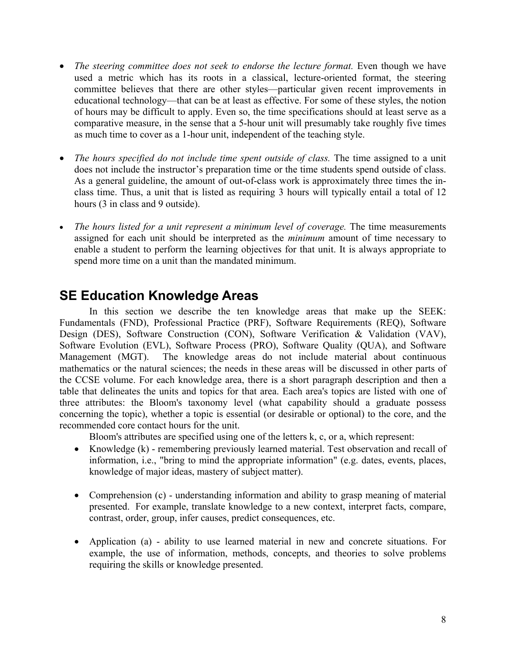- *The steering committee does not seek to endorse the lecture format.* Even though we have used a metric which has its roots in a classical, lecture-oriented format, the steering committee believes that there are other styles—particular given recent improvements in educational technology—that can be at least as effective. For some of these styles, the notion of hours may be difficult to apply. Even so, the time specifications should at least serve as a comparative measure, in the sense that a 5-hour unit will presumably take roughly five times as much time to cover as a 1-hour unit, independent of the teaching style.
- *The hours specified do not include time spent outside of class.* The time assigned to a unit does not include the instructor's preparation time or the time students spend outside of class. As a general guideline, the amount of out-of-class work is approximately three times the inclass time. Thus, a unit that is listed as requiring 3 hours will typically entail a total of 12 hours (3 in class and 9 outside).
- *The hours listed for a unit represent a minimum level of coverage.* The time measurements assigned for each unit should be interpreted as the *minimum* amount of time necessary to enable a student to perform the learning objectives for that unit. It is always appropriate to spend more time on a unit than the mandated minimum.

## **SE Education Knowledge Areas**

In this section we describe the ten knowledge areas that make up the SEEK: Fundamentals (FND), Professional Practice (PRF), Software Requirements (REQ), Software Design (DES), Software Construction (CON), Software Verification & Validation (VAV), Software Evolution (EVL), Software Process (PRO), Software Quality (QUA), and Software Management (MGT). The knowledge areas do not include material about continuous mathematics or the natural sciences; the needs in these areas will be discussed in other parts of the CCSE volume. For each knowledge area, there is a short paragraph description and then a table that delineates the units and topics for that area. Each area's topics are listed with one of three attributes: the Bloom's taxonomy level (what capability should a graduate possess concerning the topic), whether a topic is essential (or desirable or optional) to the core, and the recommended core contact hours for the unit.

Bloom's attributes are specified using one of the letters k, c, or a, which represent:

- Knowledge (k) remembering previously learned material. Test observation and recall of information, i.e., "bring to mind the appropriate information" (e.g. dates, events, places, knowledge of major ideas, mastery of subject matter).
- Comprehension (c) understanding information and ability to grasp meaning of material presented. For example, translate knowledge to a new context, interpret facts, compare, contrast, order, group, infer causes, predict consequences, etc.
- Application (a) ability to use learned material in new and concrete situations. For example, the use of information, methods, concepts, and theories to solve problems requiring the skills or knowledge presented.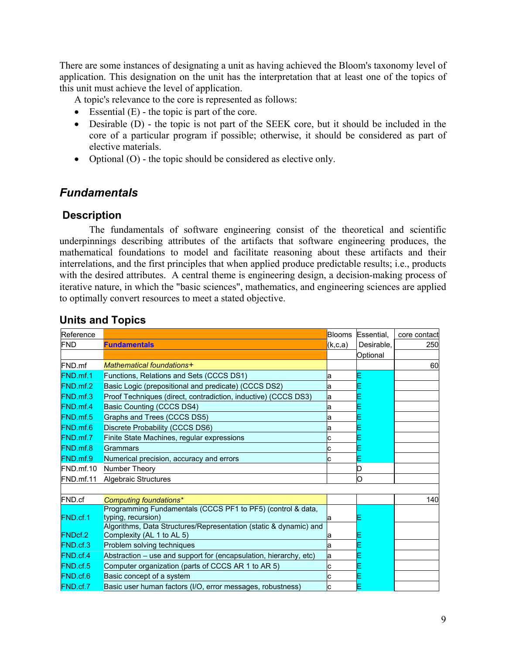There are some instances of designating a unit as having achieved the Bloom's taxonomy level of application. This designation on the unit has the interpretation that at least one of the topics of this unit must achieve the level of application.

A topic's relevance to the core is represented as follows:

- Essential  $(E)$  the topic is part of the core.
- Desirable (D) the topic is not part of the SEEK core, but it should be included in the core of a particular program if possible; otherwise, it should be considered as part of elective materials.
- Optional (O) the topic should be considered as elective only.

### *Fundamentals*

### **Description**

The fundamentals of software engineering consist of the theoretical and scientific underpinnings describing attributes of the artifacts that software engineering produces, the mathematical foundations to model and facilitate reasoning about these artifacts and their interrelations, and the first principles that when applied produce predictable results; i.e., products with the desired attributes. A central theme is engineering design, a decision-making process of iterative nature, in which the "basic sciences", mathematics, and engineering sciences are applied to optimally convert resources to meet a stated objective.

| Reference       |                                                                                                | <b>Blooms</b> | Essential. | core contact |
|-----------------|------------------------------------------------------------------------------------------------|---------------|------------|--------------|
| <b>FND</b>      | <b>Fundamentals</b>                                                                            | (k,c,a)       | Desirable. | 250          |
|                 |                                                                                                |               | Optional   |              |
| FND.mf          | Mathematical foundations+                                                                      |               |            | 60           |
| FND.mf.1        | Functions, Relations and Sets (CCCS DS1)                                                       | a             |            |              |
| FND.mf.2        | Basic Logic (prepositional and predicate) (CCCS DS2)                                           | a             |            |              |
| FND.mf.3        | Proof Techniques (direct, contradiction, inductive) (CCCS DS3)                                 | a             |            |              |
| FND.mf.4        | Basic Counting (CCCS DS4)                                                                      | a             |            |              |
| FND.mf.5        | Graphs and Trees (CCCS DS5)                                                                    | а             |            |              |
| FND.mf.6        | Discrete Probability (CCCS DS6)                                                                | a             |            |              |
| <b>FND.mf.7</b> | Finite State Machines, regular expressions                                                     |               |            |              |
| FND.mf.8        | Grammars                                                                                       |               |            |              |
| FND.mf.9        | Numerical precision, accuracy and errors                                                       |               |            |              |
| FND.mf.10       | Number Theory                                                                                  |               |            |              |
| FND.mf.11       | <b>Algebraic Structures</b>                                                                    |               |            |              |
|                 |                                                                                                |               |            |              |
| FND.cf          | Computing foundations*                                                                         |               |            | 140          |
|                 | Programming Fundamentals (CCCS PF1 to PF5) (control & data,                                    |               |            |              |
| FND.cf.1        | typing, recursion)                                                                             | la            |            |              |
| <b>FNDcf.2</b>  | Algorithms, Data Structures/Representation (static & dynamic) and<br>Complexity (AL 1 to AL 5) | a             |            |              |
| FND.cf.3        | Problem solving techniques                                                                     | a             |            |              |
| FND.cf.4        | Abstraction - use and support for (encapsulation, hierarchy, etc)                              | a             |            |              |
| FND.cf.5        | Computer organization (parts of CCCS AR 1 to AR 5)                                             |               |            |              |
| FND.cf.6        | Basic concept of a system                                                                      |               |            |              |
| FND.cf.7        | Basic user human factors (I/O, error messages, robustness)                                     |               |            |              |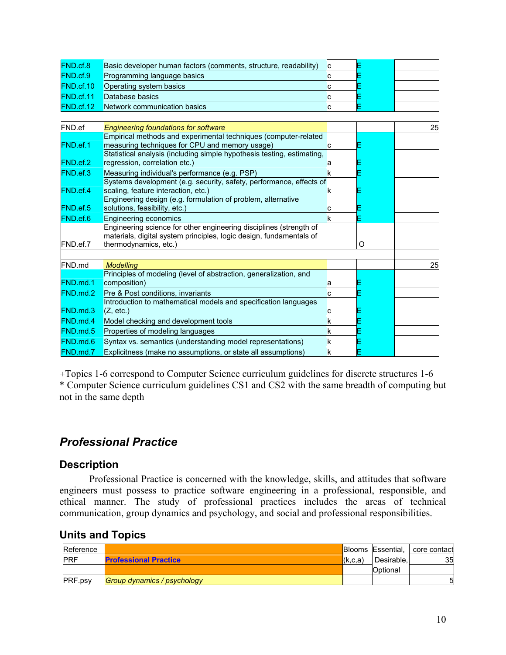| FND.cf.8         | Basic developer human factors (comments, structure, readability)                                                                                                   |    |   |    |
|------------------|--------------------------------------------------------------------------------------------------------------------------------------------------------------------|----|---|----|
| FND.cf.9         | Programming language basics                                                                                                                                        |    |   |    |
| <b>FND.cf.10</b> | Operating system basics                                                                                                                                            |    |   |    |
| FND.cf.11        | Database basics                                                                                                                                                    |    |   |    |
| FND.cf.12        | Network communication basics                                                                                                                                       |    |   |    |
|                  |                                                                                                                                                                    |    |   |    |
| FND.ef           | <b>Engineering foundations for software</b>                                                                                                                        |    |   | 25 |
| FND.ef.1         | Empirical methods and experimental techniques (computer-related<br>measuring techniques for CPU and memory usage)                                                  |    |   |    |
| FND.ef.2         | Statistical analysis (including simple hypothesis testing, estimating,<br>regression, correlation etc.)                                                            |    |   |    |
| FND.ef.3         | Measuring individual's performance (e.g. PSP)                                                                                                                      | k  |   |    |
| FND.ef.4         | Systems development (e.g. security, safety, performance, effects of<br>scaling, feature interaction, etc.)                                                         | K  |   |    |
| FND.ef.5         | Engineering design (e.g. formulation of problem, alternative<br>solutions, feasibility, etc.)                                                                      |    |   |    |
| FND.ef.6         | <b>Engineering economics</b>                                                                                                                                       | k  |   |    |
| FND.ef.7         | Engineering science for other engineering disciplines (strength of<br>materials, digital system principles, logic design, fundamentals of<br>thermodynamics, etc.) |    | O |    |
|                  |                                                                                                                                                                    |    |   |    |
| FND.md           | <b>Modelling</b>                                                                                                                                                   |    |   | 25 |
| FND.md.1         | Principles of modeling (level of abstraction, generalization, and<br>composition)                                                                                  | a  |   |    |
| FND.md.2         | Pre & Post conditions, invariants                                                                                                                                  |    |   |    |
| FND.md.3         | Introduction to mathematical models and specification languages<br>(Z, etc.)                                                                                       |    |   |    |
| FND.md.4         | Model checking and development tools                                                                                                                               | k  |   |    |
| FND.md.5         | Properties of modeling languages                                                                                                                                   | k  |   |    |
| FND.md.6         | Syntax vs. semantics (understanding model representations)                                                                                                         | k  |   |    |
| FND.md.7         | Explicitness (make no assumptions, or state all assumptions)                                                                                                       | Ιk |   |    |

*+*Topics 1-6 correspond to Computer Science curriculum guidelines for discrete structures 1-6 \* Computer Science curriculum guidelines CS1 and CS2 with the same breadth of computing but not in the same depth

### *Professional Practice*

#### **Description**

Professional Practice is concerned with the knowledge, skills, and attitudes that software engineers must possess to practice software engineering in a professional, responsible, and ethical manner. The study of professional practices includes the areas of technical communication, group dynamics and psychology, and social and professional responsibilities.

**Units and Topics** 

| Reference      |                              |         |            | <b>Blooms Essential, core contact</b> |
|----------------|------------------------------|---------|------------|---------------------------------------|
| <b>PRF</b>     | <b>Professional Practice</b> | (k,c,a) | Desirable. | 35                                    |
|                |                              |         | Optional   |                                       |
| <b>PRF.psy</b> | Group dynamics / psychology  |         |            | 51                                    |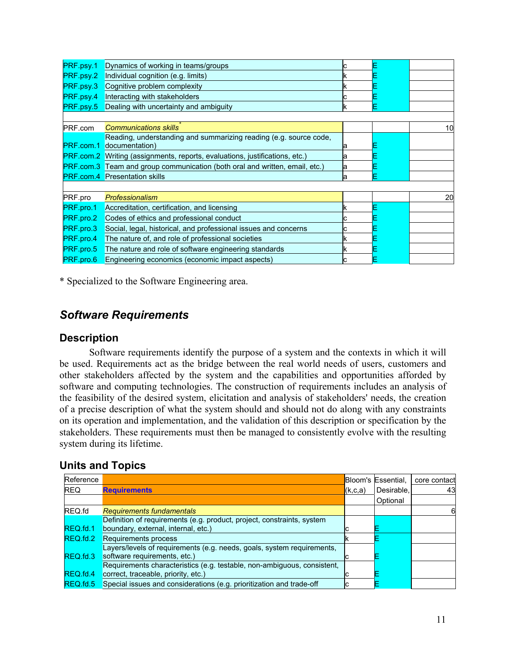| PRF.psy.1 | Dynamics of working in teams/groups                                                |    |    |
|-----------|------------------------------------------------------------------------------------|----|----|
| PRF.psy.2 | Individual cognition (e.g. limits)                                                 | ĸ  |    |
| PRF.psy.3 | Cognitive problem complexity                                                       | κ  |    |
| PRF.psy.4 | Interacting with stakeholders                                                      | c  |    |
| PRF.psy.5 | Dealing with uncertainty and ambiguity                                             | κ  |    |
|           |                                                                                    |    |    |
| PRF.com   | <b>Communications skills</b>                                                       |    | 10 |
|           | Reading, understanding and summarizing reading (e.g. source code,                  |    |    |
| PRF.com.1 | documentation)                                                                     | ıа |    |
|           | <b>PRF.com.2</b> Writing (assignments, reports, evaluations, justifications, etc.) | а  |    |
| PRF.com.3 | Team and group communication (both oral and written, email, etc.)                  | a  |    |
|           | <b>PRF.com.4</b> Presentation skills                                               | la |    |
|           |                                                                                    |    |    |
| PRF.pro   | Professionalism                                                                    |    | 20 |
| PRF.pro.1 | Accreditation, certification, and licensing                                        |    |    |
| PRF.pro.2 | Codes of ethics and professional conduct                                           |    |    |
| PRF.pro.3 | Social, legal, historical, and professional issues and concerns                    |    |    |
| PRF.pro.4 | The nature of, and role of professional societies                                  |    |    |
| PRF.pro.5 | The nature and role of software engineering standards                              |    |    |
| PRF.pro.6 | Engineering economics (economic impact aspects)                                    |    |    |
|           |                                                                                    |    |    |

\* Specialized to the Software Engineering area.

### *Software Requirements*

#### **Description**

Software requirements identify the purpose of a system and the contexts in which it will be used. Requirements act as the bridge between the real world needs of users, customers and other stakeholders affected by the system and the capabilities and opportunities afforded by software and computing technologies. The construction of requirements includes an analysis of the feasibility of the desired system, elicitation and analysis of stakeholders' needs, the creation of a precise description of what the system should and should not do along with any constraints on its operation and implementation, and the validation of this description or specification by the stakeholders. These requirements must then be managed to consistently evolve with the resulting system during its lifetime.

| Reference  |                                                                                                                |         | Bloom's Essential, | core contact |
|------------|----------------------------------------------------------------------------------------------------------------|---------|--------------------|--------------|
| <b>REQ</b> | <b>Requirements</b>                                                                                            | (k,c,a) | Desirable.         | 43           |
|            |                                                                                                                |         | Optional           |              |
| REQ.fd     | <b>Requirements fundamentals</b>                                                                               |         |                    | 61           |
| REQ.fd.1   | Definition of requirements (e.g. product, project, constraints, system<br>boundary, external, internal, etc.)  |         |                    |              |
| REQ.fd.2   | Requirements process                                                                                           |         |                    |              |
| REQ.fd.3   | Layers/levels of requirements (e.g. needs, goals, system requirements,<br>software requirements, etc.)         |         |                    |              |
| REQ.fd.4   | Requirements characteristics (e.g. testable, non-ambiguous, consistent,<br>correct, traceable, priority, etc.) |         |                    |              |
| REQ.fd.5   | Special issues and considerations (e.g. prioritization and trade-off                                           |         |                    |              |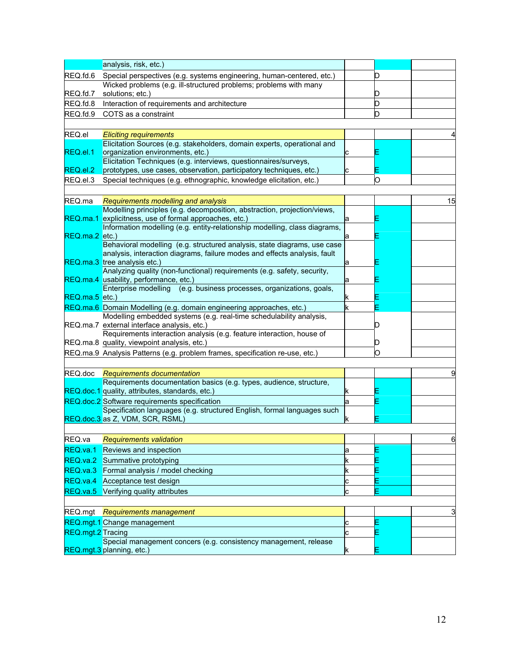|                   | analysis, risk, etc.)                                                                                                |   |   |    |
|-------------------|----------------------------------------------------------------------------------------------------------------------|---|---|----|
| REQ.fd.6          | Special perspectives (e.g. systems engineering, human-centered, etc.)                                                |   | D |    |
|                   | Wicked problems (e.g. ill-structured problems; problems with many                                                    |   |   |    |
| REQ.fd.7          | solutions; etc.)                                                                                                     |   | D |    |
| REQ.fd.8          | Interaction of requirements and architecture                                                                         |   | D |    |
| REQ.fd.9          | COTS as a constraint                                                                                                 |   | D |    |
|                   |                                                                                                                      |   |   |    |
| REQ.el            | <b>Eliciting requirements</b>                                                                                        |   |   |    |
|                   | Elicitation Sources (e.g. stakeholders, domain experts, operational and                                              |   |   |    |
| REQ.el.1          | organization environments, etc.)                                                                                     | с |   |    |
|                   | Elicitation Techniques (e.g. interviews, questionnaires/surveys,                                                     |   |   |    |
| REQ.el.2          | prototypes, use cases, observation, participatory techniques, etc.)                                                  | С |   |    |
| REQ.el.3          | Special techniques (e.g. ethnographic, knowledge elicitation, etc.)                                                  |   | O |    |
|                   |                                                                                                                      |   |   |    |
| REQ.ma            | Requirements modelling and analysis                                                                                  |   |   | 15 |
|                   | Modelling principles (e.g. decomposition, abstraction, projection/views,                                             |   |   |    |
|                   | REQ.ma.1 explicitness, use of formal approaches, etc.)                                                               | а |   |    |
|                   | Information modelling (e.g. entity-relationship modelling, class diagrams,                                           |   |   |    |
| REQ.ma.2 etc.)    | Behavioral modelling (e.g. structured analysis, state diagrams, use case                                             | а |   |    |
|                   | analysis, interaction diagrams, failure modes and effects analysis, fault                                            |   |   |    |
|                   | REQ.ma.3 tree analysis etc.)                                                                                         | а |   |    |
|                   | Analyzing quality (non-functional) requirements (e.g. safety, security,                                              |   |   |    |
|                   | REQ.ma.4 usability, performance, etc.)                                                                               | а |   |    |
|                   | Enterprise modelling (e.g. business processes, organizations, goals,                                                 |   |   |    |
| $REQ$ .ma.5 etc.) |                                                                                                                      | k |   |    |
|                   | REQ.ma.6 Domain Modelling (e.g. domain engineering approaches, etc.)                                                 | k |   |    |
|                   | Modelling embedded systems (e.g. real-time schedulability analysis,                                                  |   |   |    |
|                   | REQ.ma.7 external interface analysis, etc.)<br>Requirements interaction analysis (e.g. feature interaction, house of |   |   |    |
|                   | REQ.ma.8 quality, viewpoint analysis, etc.)                                                                          |   |   |    |
|                   | REQ.ma.9 Analysis Patterns (e.g. problem frames, specification re-use, etc.)                                         |   | O |    |
|                   |                                                                                                                      |   |   |    |
| REQ.doc           |                                                                                                                      |   |   | 9  |
|                   | Requirements documentation<br>Requirements documentation basics (e.g. types, audience, structure,                    |   |   |    |
|                   | REQ.doc.1 quality, attributes, standards, etc.)                                                                      | ĸ |   |    |
|                   | REQ.doc.2 Software requirements specification                                                                        | а |   |    |
|                   | Specification languages (e.g. structured English, formal languages such                                              |   |   |    |
|                   | REQ.doc.3 as Z, VDM, SCR, RSML)                                                                                      | k |   |    |
|                   |                                                                                                                      |   |   |    |
| REQ.va            | <b>Requirements validation</b>                                                                                       |   |   | 6  |
| REQ.va.1          | Reviews and inspection                                                                                               | а |   |    |
| REQ.va.2          | Summative prototyping                                                                                                | k |   |    |
| REQ.va.3          | Formal analysis / model checking                                                                                     | k |   |    |
| REQ.va.4          |                                                                                                                      |   |   |    |
|                   | Acceptance test design                                                                                               | с |   |    |
| REQ.va.5          | Verifying quality attributes                                                                                         | С | E |    |
|                   |                                                                                                                      |   |   |    |
|                   | REQ.mgt Requirements management                                                                                      |   |   | 3  |
|                   | REQ.mgt.1 Change management                                                                                          | с | E |    |
| REQ.mgt.2 Tracing |                                                                                                                      | C |   |    |
|                   | Special management concers (e.g. consistency management, release                                                     |   |   |    |
|                   | REQ.mgt.3 planning, etc.)                                                                                            | k |   |    |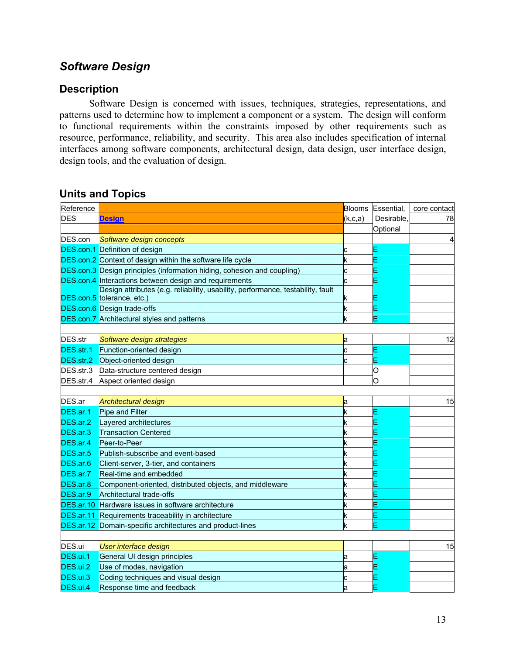## *Software Design*

#### **Description**

Software Design is concerned with issues, techniques, strategies, representations, and patterns used to determine how to implement a component or a system. The design will conform to functional requirements within the constraints imposed by other requirements such as resource, performance, reliability, and security. This area also includes specification of internal interfaces among software components, architectural design, data design, user interface design, design tools, and the evaluation of design.

| Reference  |                                                                                 |         | Blooms Essential, | core contact |
|------------|---------------------------------------------------------------------------------|---------|-------------------|--------------|
| <b>DES</b> | <b>Design</b>                                                                   | (k,c,a) | Desirable.        | 78           |
|            |                                                                                 |         | Optional          |              |
|            | DES.con Software design concepts                                                |         |                   | 4            |
|            | <b>DES.con.1</b> Definition of design                                           | c       |                   |              |
|            | DES.con.2 Context of design within the software life cycle                      | k       |                   |              |
|            | <b>DES.con.3</b> Design principles (information hiding, cohesion and coupling)  | c       |                   |              |
|            | DES.con.4 Interactions between design and requirements                          | с       |                   |              |
|            | Design attributes (e.g. reliability, usability, performance, testability, fault |         |                   |              |
|            | DES.con.5 tolerance, etc.)                                                      | κ       |                   |              |
|            | <b>DES.con.6</b> Design trade-offs                                              | k       |                   |              |
|            | <b>DES.con.7</b> Architectural styles and patterns                              | k       |                   |              |
|            |                                                                                 |         |                   |              |
| DES.str    | Software design strategies                                                      | а       |                   | 12           |
|            | <b>DES.str.1</b> Function-oriented design                                       | C       |                   |              |
|            | DES.str.2 Object-oriented design                                                | C       |                   |              |
|            | DES.str.3 Data-structure centered design                                        |         | O                 |              |
|            | DES.str.4 Aspect oriented design                                                |         | O                 |              |
|            |                                                                                 |         |                   |              |
| DES.ar     | <b>Architectural design</b>                                                     | а       |                   | 15           |
| DES.ar.1   | Pipe and Filter                                                                 | k       |                   |              |
| DES.ar.2   | Layered architectures                                                           | k       |                   |              |
| DES.ar.3   | <b>Transaction Centered</b>                                                     | k       |                   |              |
| DES.ar.4   | Peer-to-Peer                                                                    | k       |                   |              |
| DES.ar.5   | Publish-subscribe and event-based                                               | k       |                   |              |
| DES.ar.6   | Client-server, 3-tier, and containers                                           | k       |                   |              |
| DES.ar.7   | Real-time and embedded                                                          | k       |                   |              |
| DES.ar.8   | Component-oriented, distributed objects, and middleware                         | k       |                   |              |
| DES.ar.9   | Architectural trade-offs                                                        | k       |                   |              |
|            | <b>DES.ar.10</b> Hardware issues in software architecture                       | k       |                   |              |
|            | DES.ar.11 Requirements traceability in architecture                             | k       |                   |              |
|            | DES.ar.12 Domain-specific architectures and product-lines                       | k       |                   |              |
|            |                                                                                 |         |                   |              |
| DES.ui     | <b>User interface design</b>                                                    |         |                   | 15           |
| DES.ui.1   | General UI design principles                                                    | a       |                   |              |
| DES.ui.2   | Use of modes, navigation                                                        | а       |                   |              |
| DES.ui.3   | Coding techniques and visual design                                             | с       |                   |              |
| DES.ui.4   | Response time and feedback                                                      | a       |                   |              |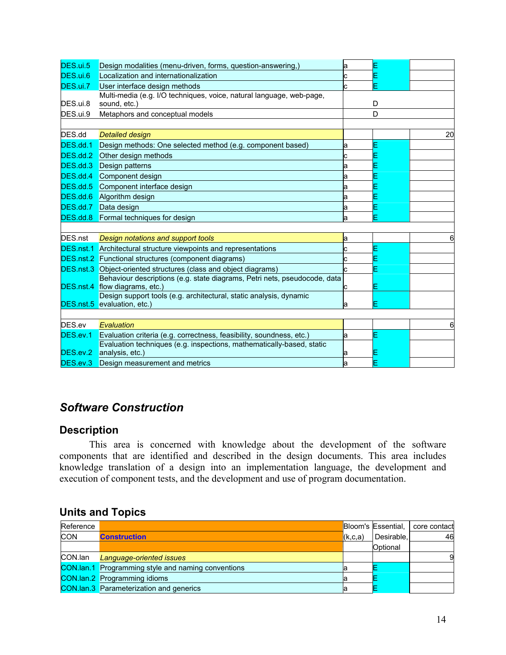| DES.ui.5  | Design modalities (menu-driven, forms, question-answering,)               | a  |   |    |
|-----------|---------------------------------------------------------------------------|----|---|----|
| DES.ui.6  | Localization and internationalization                                     | Ć  |   |    |
| DES.ui.7  | User interface design methods                                             | Ć  |   |    |
|           | Multi-media (e.g. I/O techniques, voice, natural language, web-page,      |    |   |    |
| DES.ui.8  | sound, etc.)                                                              |    | D |    |
| DES.ui.9  | Metaphors and conceptual models                                           |    | D |    |
|           |                                                                           |    |   |    |
| DES.dd    | <b>Detailed design</b>                                                    |    |   | 20 |
| DES.dd.1  | Design methods: One selected method (e.g. component based)                | а  |   |    |
| DES.dd.2  | Other design methods                                                      | c  |   |    |
| DES.dd.3  | Design patterns                                                           | а  |   |    |
| DES.dd.4  | Component design                                                          | а  |   |    |
| DES.dd.5  | Component interface design                                                | а  |   |    |
| DES.dd.6  | Algorithm design                                                          | а  |   |    |
| DES.dd.7  | Data design                                                               | а  |   |    |
|           | <b>DES.dd.8</b> Formal techniques for design                              | а  |   |    |
|           |                                                                           |    |   |    |
| DES.nst   | Design notations and support tools                                        | a  |   |    |
| DES.nst.1 | Architectural structure viewpoints and representations                    | C  |   |    |
|           | <b>DES.nst.2</b> Functional structures (component diagrams)               | c  |   |    |
|           | <b>DES.nst.3</b> Object-oriented structures (class and object diagrams)   | Ċ. |   |    |
|           | Behaviour descriptions (e.g. state diagrams, Petri nets, pseudocode, data |    |   |    |
| DES.nst.4 | flow diagrams, etc.)                                                      |    |   |    |
|           | Design support tools (e.g. architectural, static analysis, dynamic        |    |   |    |
|           | DES.nst.5 evaluation, etc.)                                               | а  |   |    |
|           |                                                                           |    |   |    |
| DES.ev    | Evaluation                                                                |    |   |    |
| DES.ev.1  | Evaluation criteria (e.g. correctness, feasibility, soundness, etc.)      | а  |   |    |
| DES.ev.2  | Evaluation techniques (e.g. inspections, mathematically-based, static     |    |   |    |
|           | analysis, etc.)                                                           | а  |   |    |
| DES.ev.3  | Design measurement and metrics                                            | а  |   |    |

### *Software Construction*

#### **Description**

This area is concerned with knowledge about the development of the software components that are identified and described in the design documents. This area includes knowledge translation of a design into an implementation language, the development and execution of component tests, and the development and use of program documentation.

| Reference  |                                                           |           | <b>Bloom's Essential, I</b> | core contact |
|------------|-----------------------------------------------------------|-----------|-----------------------------|--------------|
| <b>CON</b> | <b>Construction</b>                                       | (k, c, a) | Desirable,                  | 46           |
|            |                                                           |           | Optional                    |              |
| CON.lan    | Language-oriented issues                                  |           |                             |              |
|            | <b>CON.Ian.1</b> Programming style and naming conventions |           |                             |              |
|            | <b>CON.lan.2</b> Programming idioms                       |           |                             |              |
|            | <b>CON.lan.3</b> Parameterization and generics            |           |                             |              |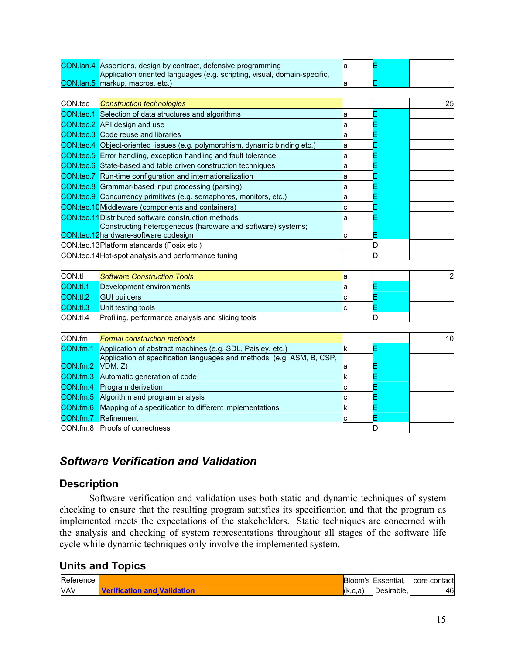|                  | CON.lan.4 Assertions, design by contract, defensive programming            | a |   |    |
|------------------|----------------------------------------------------------------------------|---|---|----|
|                  | Application oriented languages (e.g. scripting, visual, domain-specific,   |   |   |    |
|                  | CON.lan.5 markup, macros, etc.)                                            |   |   |    |
|                  |                                                                            |   |   |    |
| CON.tec          | <b>Construction technologies</b>                                           |   |   | 25 |
|                  | CON.tec.1 Selection of data structures and algorithms                      | а |   |    |
|                  | <b>CON.tec.2</b> API design and use                                        | а |   |    |
|                  | <b>CON.tec.3</b> Code reuse and libraries                                  | а |   |    |
|                  | CON.tec.4 Object-oriented issues (e.g. polymorphism, dynamic binding etc.) | а |   |    |
|                  | <b>CON.tec.5</b> Error handling, exception handling and fault tolerance    | а |   |    |
|                  | CON.tec.6 State-based and table driven construction techniques             | а |   |    |
|                  | CON.tec.7 Run-time configuration and internationalization                  | а |   |    |
|                  | CON.tec.8 Grammar-based input processing (parsing)                         | a |   |    |
|                  | CON.tec.9 Concurrency primitives (e.g. semaphores, monitors, etc.)         | а |   |    |
|                  | <b>CON.tec.10</b> Middleware (components and containers)                   |   |   |    |
|                  | <b>CON.tec.11</b> Distributed software construction methods                | a |   |    |
|                  | Constructing heterogeneous (hardware and software) systems;                |   |   |    |
|                  | CON.tec.12hardware-software codesign                                       |   |   |    |
|                  | CON.tec.13Platform standards (Posix etc.)                                  |   |   |    |
|                  | CON.tec.14Hot-spot analysis and performance tuning                         |   |   |    |
|                  |                                                                            |   |   |    |
| CON.tl           | <b>Software Construction Tools</b>                                         | а |   |    |
| CON.tl.1         | Development environments                                                   | а |   |    |
| CON.tl.2         | <b>GUI builders</b>                                                        | c |   |    |
| CON.tl.3         | Unit testing tools                                                         |   |   |    |
| CON.tl.4         | Profiling, performance analysis and slicing tools                          |   | D |    |
|                  |                                                                            |   |   |    |
| CON.fm           | <b>Formal construction methods</b>                                         |   |   | 10 |
| CON.fm.1         | Application of abstract machines (e.g. SDL, Paisley, etc.)                 |   |   |    |
|                  | Application of specification languages and methods (e.g. ASM, B, CSP,      |   |   |    |
| CON.fm.2 VDM, Z) |                                                                            |   |   |    |
|                  | CON.fm.3 Automatic generation of code                                      | k |   |    |
| CON.fm.4         | Program derivation                                                         | C |   |    |
|                  | <b>CON.fm.5</b> Algorithm and program analysis                             |   |   |    |
| CON.fm.6         | Mapping of a specification to different implementations                    |   |   |    |
|                  | <b>CON.fm.7</b> Refinement                                                 |   |   |    |
|                  | CON.fm.8 Proofs of correctness                                             |   |   |    |

### *Software Verification and Validation*

### **Description**

Software verification and validation uses both static and dynamic techniques of system checking to ensure that the resulting program satisfies its specification and that the program as implemented meets the expectations of the stakeholders. Static techniques are concerned with the analysis and checking of system representations throughout all stages of the software life cycle while dynamic techniques only involve the implemented system.

| Reference  |         | Bloom's                 | NEssential, | : contact<br>core |
|------------|---------|-------------------------|-------------|-------------------|
| <b>VAV</b> | astion. | $\sim$ $\sim$<br>(K.c.a | rable.      | 46                |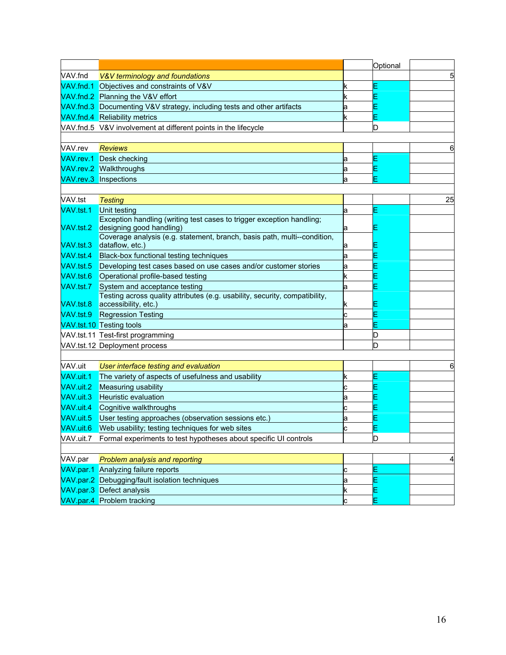|           |                                                                                                      |    | Optional |    |
|-----------|------------------------------------------------------------------------------------------------------|----|----------|----|
| VAV.fnd   | V&V terminology and foundations                                                                      |    |          |    |
| VAV.fnd.1 | Objectives and constraints of V&V                                                                    | k  |          |    |
|           | VAV.fnd.2 Planning the V&V effort                                                                    | k  |          |    |
|           | VAV.fnd.3 Documenting V&V strategy, including tests and other artifacts                              | а  |          |    |
|           | VAV.fnd.4 Reliability metrics                                                                        | k. |          |    |
|           | VAV.fnd.5 V&V involvement at different points in the lifecycle                                       |    | D        |    |
|           |                                                                                                      |    |          |    |
| VAV.rev   | <b>Reviews</b>                                                                                       |    |          |    |
|           | VAV.rev.1 Desk checking                                                                              | а  |          |    |
|           | <b>VAV.rev.2 Walkthroughs</b>                                                                        | а  |          |    |
|           | VAV.rev.3 Inspections                                                                                | а  |          |    |
|           |                                                                                                      |    |          |    |
| VAV.tst   | <b>Testing</b>                                                                                       |    |          | 25 |
| VAV.tst.1 | Unit testing                                                                                         | а  |          |    |
|           | Exception handling (writing test cases to trigger exception handling;                                |    |          |    |
| VAV.tst.2 | designing good handling)<br>Coverage analysis (e.g. statement, branch, basis path, multi--condition, | а  |          |    |
| VAV.tst.3 | dataflow, etc.)                                                                                      | а  |          |    |
| VAV.tst.4 | Black-box functional testing techniques                                                              | а  |          |    |
| VAV.tst.5 | Developing test cases based on use cases and/or customer stories                                     | а  |          |    |
| VAV.tst.6 | Operational profile-based testing                                                                    | k  |          |    |
| VAV.tst.7 | System and acceptance testing                                                                        | а  |          |    |
|           | Testing across quality attributes (e.g. usability, security, compatibility,                          |    |          |    |
| VAV.tst.8 | accessibility, etc.)                                                                                 | ĸ  |          |    |
| VAV.tst.9 | <b>Regression Testing</b>                                                                            | c  |          |    |
|           | <b>VAV.tst.10</b> Testing tools                                                                      | а  |          |    |
|           | VAV.tst.11 Test-first programming                                                                    |    | D        |    |
|           | VAV.tst.12 Deployment process                                                                        |    | D        |    |
|           |                                                                                                      |    |          |    |
| VAV.uit   | User interface testing and evaluation                                                                |    |          |    |
| VAV.uit.1 | The variety of aspects of usefulness and usability                                                   | k  |          |    |
| VAV.uit.2 | Measuring usability                                                                                  | c  |          |    |
| VAV.uit.3 | <b>Heuristic evaluation</b>                                                                          | а  |          |    |
| VAV.uit.4 | Cognitive walkthroughs                                                                               | c  |          |    |
| VAV.uit.5 | User testing approaches (observation sessions etc.)                                                  | а  |          |    |
| VAV.uit.6 | Web usability; testing techniques for web sites                                                      | Ć  |          |    |
| VAV.uit.7 | Formal experiments to test hypotheses about specific UI controls                                     |    | D        |    |
|           |                                                                                                      |    |          |    |
| VAV.par   | Problem analysis and reporting                                                                       |    |          | 4  |
|           | VAV.par.1 Analyzing failure reports                                                                  | c  |          |    |
|           | VAV.par.2 Debugging/fault isolation techniques                                                       | а  | Е        |    |
|           | VAV.par.3 Defect analysis                                                                            | k  | Ε        |    |
|           | VAV.par.4 Problem tracking                                                                           | c  |          |    |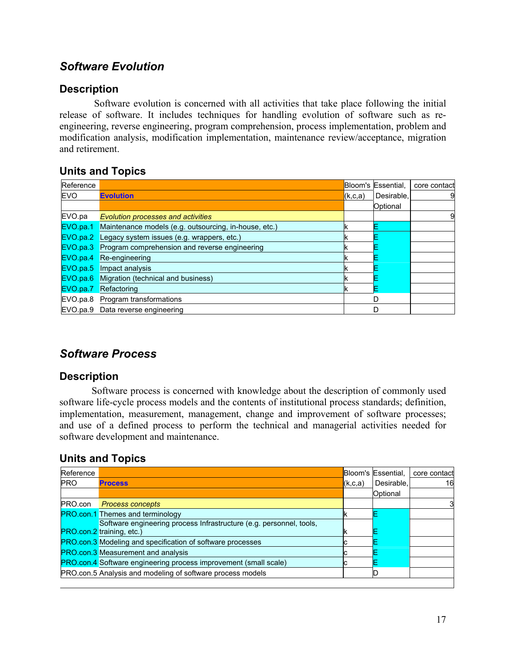### *Software Evolution*

### **Description**

 Software evolution is concerned with all activities that take place following the initial release of software. It includes techniques for handling evolution of software such as reengineering, reverse engineering, program comprehension, process implementation, problem and modification analysis, modification implementation, maintenance review/acceptance, migration and retirement.

### **Units and Topics**

| Reference  |                                                                       |         | Bloom's Essential, | core contact |
|------------|-----------------------------------------------------------------------|---------|--------------------|--------------|
| <b>EVO</b> | <b>Evolution</b>                                                      | (k,c,a) | Desirable,         | 9            |
|            |                                                                       |         | Optional           |              |
| EVO.pa     | <b>Evolution processes and activities</b>                             |         |                    | 9            |
|            | <b>EVO.pa.1</b> Maintenance models (e.g. outsourcing, in-house, etc.) |         |                    |              |
|            | <b>EVO.pa.2</b> Legacy system issues (e.g. wrappers, etc.)            |         |                    |              |
|            | <b>EVO.pa.3</b> Program comprehension and reverse engineering         |         |                    |              |
|            | EVO.pa.4 Re-engineering                                               |         |                    |              |
|            | <b>EVO.pa.5</b> Impact analysis                                       |         |                    |              |
|            | <b>EVO.pa.6</b> Migration (technical and business)                    |         |                    |              |
|            | <b>EVO.pa.7</b> Refactoring                                           |         |                    |              |
|            | EVO.pa.8 Program transformations                                      |         | D                  |              |
|            | EVO.pa.9 Data reverse engineering                                     |         | D                  |              |

### *Software Process*

### **Description**

 Software process is concerned with knowledge about the description of commonly used software life-cycle process models and the contents of institutional process standards; definition, implementation, measurement, management, change and improvement of software processes; and use of a defined process to perform the technical and managerial activities needed for software development and maintenance.

| Reference  |                                                                                                  |         | Bloom's Essential, | core contact |
|------------|--------------------------------------------------------------------------------------------------|---------|--------------------|--------------|
| <b>PRO</b> | <b>Process</b>                                                                                   | (k,c,a) | Desirable.         | 16           |
|            |                                                                                                  |         | Optional           |              |
| PRO.con    | <b>Process concepts</b>                                                                          |         |                    |              |
|            | <b>PRO.con.1</b> Themes and terminology                                                          |         |                    |              |
|            | Software engineering process Infrastructure (e.g. personnel, tools,<br>PRO.con.2 training, etc.) |         |                    |              |
|            | <b>PRO.con.3</b> Modeling and specification of software processes                                |         |                    |              |
|            | <b>PRO.con.3 Measurement and analysis</b>                                                        |         |                    |              |
|            | <b>PRO.con.4</b> Software engineering process improvement (small scale)                          |         |                    |              |
|            | PRO.con.5 Analysis and modeling of software process models                                       |         |                    |              |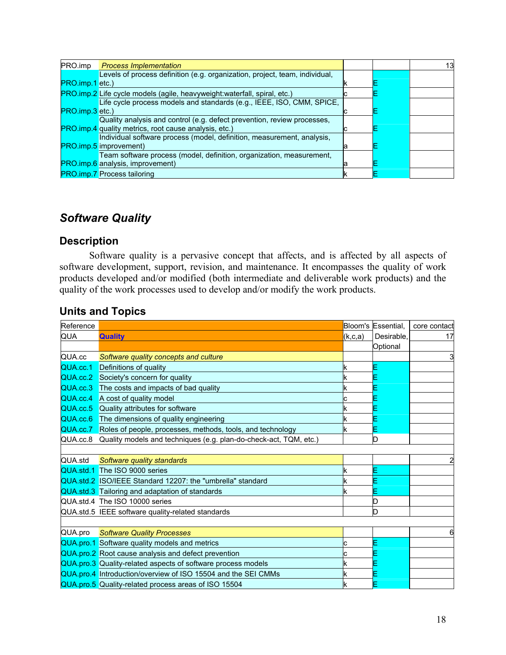| PRO.imp             | <b>Process Implementation</b>                                               |   | 13 |
|---------------------|-----------------------------------------------------------------------------|---|----|
|                     | Levels of process definition (e.g. organization, project, team, individual, |   |    |
| $PRO.$ imp. 1 etc.) |                                                                             |   |    |
|                     | PRO.imp.2 Life cycle models (agile, heavyweight: waterfall, spiral, etc.)   |   |    |
|                     | Life cycle process models and standards (e.g., IEEE, ISO, CMM, SPICE,       |   |    |
| PRO.imp.3 etc.)     |                                                                             |   |    |
|                     | Quality analysis and control (e.g. defect prevention, review processes,     |   |    |
|                     | <b>PRO.imp.4</b> quality metrics, root cause analysis, etc.)                |   |    |
|                     | Individual software process (model, definition, measurement, analysis,      |   |    |
|                     | <b>PRO.imp.5</b> improvement)                                               | а |    |
|                     | Team software process (model, definition, organization, measurement,        |   |    |
|                     | <b>PRO.imp.6</b> analysis, improvement)                                     |   |    |
|                     | <b>PRO.imp.7 Process tailoring</b>                                          |   |    |

### *Software Quality*

#### **Description**

Software quality is a pervasive concept that affects, and is affected by all aspects of software development, support, revision, and maintenance. It encompasses the quality of work products developed and/or modified (both intermediate and deliverable work products) and the quality of the work processes used to develop and/or modify the work products.

| Reference |                                                                            |           | Bloom's Essential, | core contact |
|-----------|----------------------------------------------------------------------------|-----------|--------------------|--------------|
| QUA       | <b>Quality</b>                                                             | (k, c, a) | Desirable.         | 17           |
|           |                                                                            |           | Optional           |              |
| QUA.cc    | Software quality concepts and culture                                      |           |                    | 3            |
| QUA.cc.1  | Definitions of quality                                                     | k         |                    |              |
| QUA.cc.2  | Society's concern for quality                                              |           |                    |              |
| QUA.cc.3  | The costs and impacts of bad quality                                       |           |                    |              |
| QUA.cc.4  | A cost of quality model                                                    |           |                    |              |
|           | QUA.cc.5 Quality attributes for software                                   |           |                    |              |
|           | QUA.cc.6 The dimensions of quality engineering                             |           |                    |              |
|           | QUA.cc.7 Roles of people, processes, methods, tools, and technology        |           |                    |              |
|           | QUA.cc.8 Quality models and techniques (e.g. plan-do-check-act, TQM, etc.) |           |                    |              |
|           |                                                                            |           |                    |              |
| QUA.std   | Software quality standards                                                 |           |                    |              |
|           | QUA.std.1 The ISO 9000 series                                              |           |                    |              |
|           | QUA.std.2 ISO/IEEE Standard 12207: the "umbrella" standard                 | k         |                    |              |
|           | QUA.std.3 Tailoring and adaptation of standards                            |           |                    |              |
|           | QUA.std.4 The ISO 10000 series                                             |           |                    |              |
|           | QUA.std.5 IEEE software quality-related standards                          |           |                    |              |
|           |                                                                            |           |                    |              |
| QUA.pro   | <b>Software Quality Processes</b>                                          |           |                    | 6            |
|           | QUA.pro.1 Software quality models and metrics                              | с         |                    |              |
|           | QUA.pro.2 Root cause analysis and defect prevention                        | с         |                    |              |
|           | QUA.pro.3 Quality-related aspects of software process models               | ĸ         |                    |              |
|           | QUA.pro.4 Introduction/overview of ISO 15504 and the SEI CMMs              | k         |                    |              |
|           | QUA.pro.5 Quality-related process areas of ISO 15504                       |           |                    |              |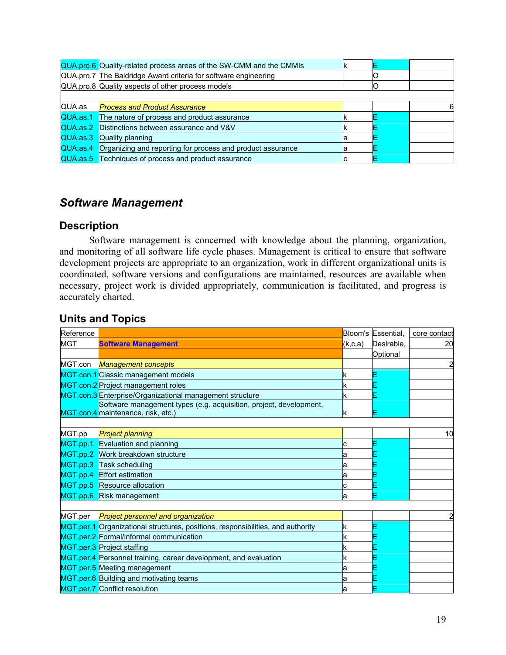| <b>Process and Product Assurance</b> |                                                                                                                                                                                                                                                                                                                                                                                                                                                                           | 6 |
|--------------------------------------|---------------------------------------------------------------------------------------------------------------------------------------------------------------------------------------------------------------------------------------------------------------------------------------------------------------------------------------------------------------------------------------------------------------------------------------------------------------------------|---|
|                                      |                                                                                                                                                                                                                                                                                                                                                                                                                                                                           |   |
|                                      |                                                                                                                                                                                                                                                                                                                                                                                                                                                                           |   |
|                                      |                                                                                                                                                                                                                                                                                                                                                                                                                                                                           |   |
|                                      |                                                                                                                                                                                                                                                                                                                                                                                                                                                                           |   |
|                                      |                                                                                                                                                                                                                                                                                                                                                                                                                                                                           |   |
|                                      | QUA.pro.6 Quality-related process areas of the SW-CMM and the CMMIs<br>QUA.pro.7 The Baldridge Award criteria for software engineering<br>QUA.pro.8 Quality aspects of other process models<br>QUA.as.1 The nature of process and product assurance<br>QUA.as.2 Distinctions between assurance and V&V<br><b>QUA.as.3</b> Quality planning<br>QUA.as.4 Organizing and reporting for process and product assurance<br>QUA.as.5 Techniques of process and product assurance |   |

### *Software Management*

#### **Description**

Software management is concerned with knowledge about the planning, organization, and monitoring of all software life cycle phases. Management is critical to ensure that software development projects are appropriate to an organization, work in different organizational units is coordinated, software versions and configurations are maintained, resources are available when necessary, project work is divided appropriately, communication is facilitated, and progress is accurately charted.

| <b>Units and Topics</b> |
|-------------------------|
|-------------------------|

| Reference  |                                                                                 |         | Bloom's Essential, | core contact |
|------------|---------------------------------------------------------------------------------|---------|--------------------|--------------|
| <b>MGT</b> | <b>Software Management</b>                                                      | (k,c,a) | Desirable,         | 20           |
|            |                                                                                 |         | Optional           |              |
|            | MGT.con Management concepts                                                     |         |                    | 2            |
|            | MGT.con.1 Classic management models                                             |         |                    |              |
|            | MGT.con.2 Project management roles                                              |         |                    |              |
|            | MGT.con.3 Enterprise/Organizational management structure                        |         |                    |              |
|            | Software management types (e.g. acquisition, project, development,              |         |                    |              |
|            | MGT.con.4 maintenance, risk, etc.)                                              |         |                    |              |
|            |                                                                                 |         |                    |              |
| MGT.pp     | <b>Project planning</b>                                                         |         |                    | 10           |
|            | MGT.pp.1 Evaluation and planning                                                |         |                    |              |
|            | MGT.pp.2 Work breakdown structure                                               |         |                    |              |
|            | MGT.pp.3 Task scheduling                                                        |         |                    |              |
|            | MGT.pp.4 Effort estimation                                                      |         |                    |              |
|            | MGT.pp.5 Resource allocation                                                    |         |                    |              |
|            | MGT.pp.6 Risk management                                                        | а       |                    |              |
|            |                                                                                 |         |                    |              |
|            | MGT.per Project personnel and organization                                      |         |                    |              |
|            | MGT.per.1 Organizational structures, positions, responsibilities, and authority | k       |                    |              |
|            | MGT.per.2 Formal/informal communication                                         |         |                    |              |
|            | MGT.per.3 Project staffing                                                      |         |                    |              |
|            | MGT.per.4 Personnel training, career development, and evaluation                | k       |                    |              |
|            | MGT.per.5 Meeting management                                                    | а       |                    |              |
|            | MGT.per.6 Building and motivating teams                                         | а       |                    |              |
|            | MGT.per.7 Conflict resolution                                                   | a       |                    |              |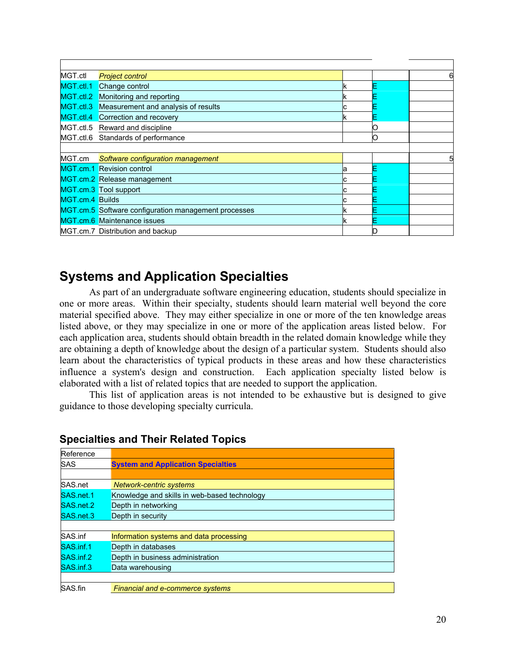| MGT.ctl                | <b>Project control</b>                               |   | 6 |
|------------------------|------------------------------------------------------|---|---|
| MGT.ctl.1              | Change control                                       |   |   |
| MGT.ctl.2              | Monitoring and reporting                             |   |   |
| $MGT.$ ctl.3           | Measurement and analysis of results                  |   |   |
|                        | MGT.ctl.4 Correction and recovery                    |   |   |
|                        | MGT.ctl.5 Reward and discipline                      |   |   |
|                        | MGT.ctl.6 Standards of performance                   | n |   |
|                        |                                                      |   |   |
| MGT.cm                 | Software configuration management                    |   | 5 |
|                        | MGT.cm.1 Revision control                            |   |   |
|                        | MGT.cm.2 Release management                          |   |   |
|                        | MGT.cm.3 Tool support                                |   |   |
| <b>MGT.cm.4 Builds</b> |                                                      |   |   |
|                        | MGT.cm.5 Software configuration management processes |   |   |
|                        | MGT.cm.6 Maintenance issues                          |   |   |
|                        | MGT.cm.7 Distribution and backup                     |   |   |

## **Systems and Application Specialties**

As part of an undergraduate software engineering education, students should specialize in one or more areas. Within their specialty, students should learn material well beyond the core material specified above. They may either specialize in one or more of the ten knowledge areas listed above, or they may specialize in one or more of the application areas listed below. For each application area, students should obtain breadth in the related domain knowledge while they are obtaining a depth of knowledge about the design of a particular system. Students should also learn about the characteristics of typical products in these areas and how these characteristics influence a system's design and construction. Each application specialty listed below is elaborated with a list of related topics that are needed to support the application.

This list of application areas is not intended to be exhaustive but is designed to give guidance to those developing specialty curricula.

| Reference |                                              |
|-----------|----------------------------------------------|
| SAS       | <b>System and Application Specialties</b>    |
|           |                                              |
| SAS.net   | <b>Network-centric systems</b>               |
| SAS.net.1 | Knowledge and skills in web-based technology |
| SAS.net.2 | Depth in networking                          |
| SAS.net.3 | Depth in security                            |
|           |                                              |
| SAS.inf   | Information systems and data processing      |
| SAS.inf.1 | Depth in databases                           |
| SAS.inf.2 | Depth in business administration             |
| SAS.inf.3 | Data warehousing                             |
|           |                                              |
| SAS.fin   | <b>Financial and e-commerce systems</b>      |

### **Specialties and Their Related Topics**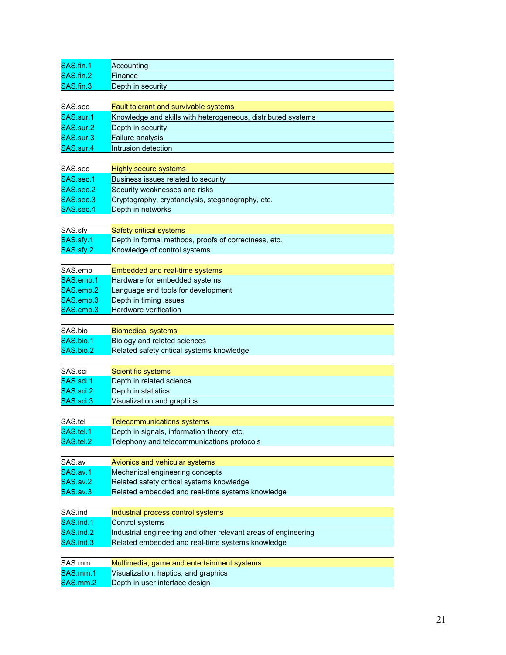| SAS.fin.1              | Accounting                                                     |
|------------------------|----------------------------------------------------------------|
| SAS.fin.2              | Finance                                                        |
| SAS.fin.3              | Depth in security                                              |
|                        |                                                                |
| SAS.sec                | Fault tolerant and survivable systems                          |
| SAS.sur.1              | Knowledge and skills with heterogeneous, distributed systems   |
| SAS.sur.2              | Depth in security                                              |
| SAS.sur.3              | Failure analysis                                               |
| SAS.sur.4              | Intrusion detection                                            |
|                        |                                                                |
| SAS.sec                | <b>Highly secure systems</b>                                   |
| SAS.sec.1              | Business issues related to security                            |
| SAS.sec.2              | Security weaknesses and risks                                  |
| SAS.sec.3              | Cryptography, cryptanalysis, steganography, etc.               |
| SAS.sec.4              | Depth in networks                                              |
|                        |                                                                |
| SAS.sfy                | Safety critical systems                                        |
| SAS.sfy.1              | Depth in formal methods, proofs of correctness, etc.           |
| SAS.sfy.2              | Knowledge of control systems                                   |
|                        |                                                                |
| SAS.emb                | Embedded and real-time systems                                 |
| SAS.emb.1              | Hardware for embedded systems                                  |
| SAS.emb.2<br>SAS.emb.3 | Language and tools for development                             |
| SAS.emb.3              | Depth in timing issues<br>Hardware verification                |
|                        |                                                                |
| SAS.bio                | <b>Biomedical systems</b>                                      |
| SAS.bio.1              | Biology and related sciences                                   |
| SAS.bio.2              | Related safety critical systems knowledge                      |
|                        |                                                                |
| SAS.sci                | Scientific systems                                             |
| SAS.sci.1              | Depth in related science                                       |
| SAS.sci.2              | Depth in statistics                                            |
| SAS.sci.3              | Visualization and graphics                                     |
|                        |                                                                |
| SAS.tel                | <b>Telecommunications systems</b>                              |
| SAS.tel.1              | Depth in signals, information theory, etc.                     |
| SAS.tel.2              | Telephony and telecommunications protocols                     |
|                        |                                                                |
| SAS.av                 | Avionics and vehicular systems                                 |
| SAS.av.1               | Mechanical engineering concepts                                |
| SAS.av.2               | Related safety critical systems knowledge                      |
| SAS.av.3               | Related embedded and real-time systems knowledge               |
|                        |                                                                |
| SAS.ind                | Industrial process control systems                             |
| SAS.ind.1              | Control systems                                                |
| SAS.ind.2              | Industrial engineering and other relevant areas of engineering |
| SAS.ind.3              | Related embedded and real-time systems knowledge               |
|                        |                                                                |
| SAS.mm                 | Multimedia, game and entertainment systems                     |
| SAS.mm.1               | Visualization, haptics, and graphics                           |
| SAS.mm.2               | Depth in user interface design                                 |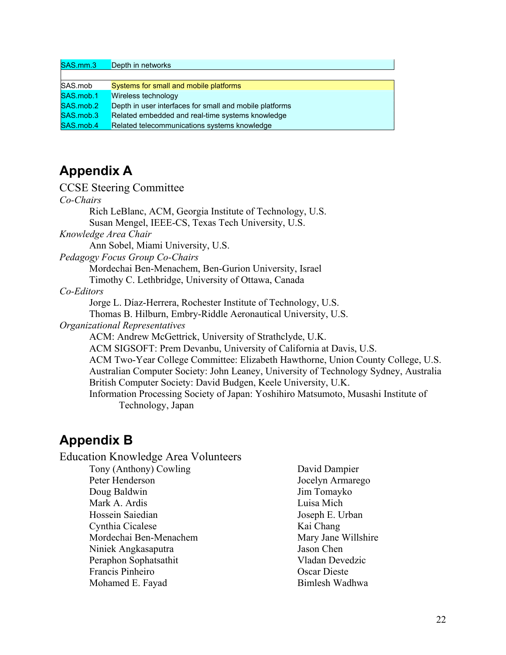| SAS.mm.3  | Depth in networks                                       |
|-----------|---------------------------------------------------------|
|           |                                                         |
| SAS.mob   | Systems for small and mobile platforms                  |
| SAS.mob.1 | Wireless technology                                     |
| SAS.mob.2 | Depth in user interfaces for small and mobile platforms |
| SAS.mob.3 | Related embedded and real-time systems knowledge        |
| SAS.mob.4 | Related telecommunications systems knowledge            |

## **Appendix A**

#### CCSE Steering Committee

*Co-Chairs*  Rich LeBlanc, ACM, Georgia Institute of Technology, U.S. Susan Mengel, IEEE-CS, Texas Tech University, U.S. *Knowledge Area Chair*  Ann Sobel, Miami University, U.S. *Pedagogy Focus Group Co-Chairs*  Mordechai Ben-Menachem, Ben-Gurion University, Israel Timothy C. Lethbridge, University of Ottawa, Canada *Co-Editors*  Jorge L. Díaz-Herrera, Rochester Institute of Technology, U.S. Thomas B. Hilburn, Embry-Riddle Aeronautical University, U.S. *Organizational Representatives*  ACM: Andrew McGettrick, University of Strathclyde, U.K. ACM SIGSOFT: Prem Devanbu, University of California at Davis, U.S. ACM Two-Year College Committee: Elizabeth Hawthorne, Union County College, U.S. Australian Computer Society: John Leaney, University of Technology Sydney, Australia British Computer Society: David Budgen, Keele University, U.K. Information Processing Society of Japan: Yoshihiro Matsumoto, Musashi Institute of Technology, Japan

## **Appendix B**

Education Knowledge Area Volunteers

Tony (Anthony) Cowling Peter Henderson Doug Baldwin Mark A. Ardis Hossein Saiedian Cynthia Cicalese Mordechai Ben-Menachem Niniek Angkasaputra Peraphon Sophatsathit Francis Pinheiro Mohamed E. Fayad

David Dampier Jocelyn Armarego Jim Tomayko Luisa Mich Joseph E. Urban Kai Chang Mary Jane Willshire Jason Chen Vladan Devedzic Oscar Dieste Bimlesh Wadhwa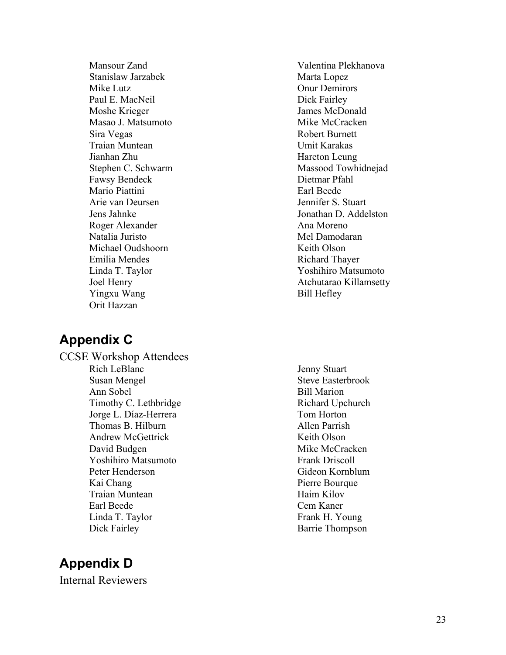Mansour Zand Stanislaw Jarzabek Mike Lutz Paul E. MacNeil Moshe Krieger Masao J. Matsumoto Sira Vegas Traian Muntean Jianhan Zhu Stephen C. Schwarm Fawsy Bendeck Mario Piattini Arie van Deursen Jens Jahnke Roger Alexander Natalia Juristo Michael Oudshoorn Emilia Mendes Linda T. Taylor Joel Henry Yingxu Wang Orit Hazzan

## **Appendix C**

CCSE Workshop Attendees Rich LeBlanc Susan Mengel Ann Sobel Timothy C. Lethbridge Jorge L. Díaz-Herrera Thomas B. Hilburn Andrew McGettrick David Budgen Yoshihiro Matsumoto Peter Henderson Kai Chang Traian Muntean Earl Beede Linda T. Taylor Dick Fairley

# **Appendix D**

Internal Reviewers

Valentina Plekhanova Marta Lopez Onur Demirors Dick Fairley James McDonald Mike McCracken Robert Burnett Umit Karakas Hareton Leung Massood Towhidnejad Dietmar Pfahl Earl Beede Jennifer S. Stuart Jonathan D. Addelston Ana Moreno Mel Damodaran Keith Olson Richard Thayer Yoshihiro Matsumoto Atchutarao Killamsetty Bill Hefley

 Jenny Stuart Steve Easterbrook Bill Marion Richard Upchurch Tom Horton Allen Parrish Keith Olson Mike McCracken Frank Driscoll Gideon Kornblum Pierre Bourque Haim Kilov Cem Kaner Frank H. Young Barrie Thompson